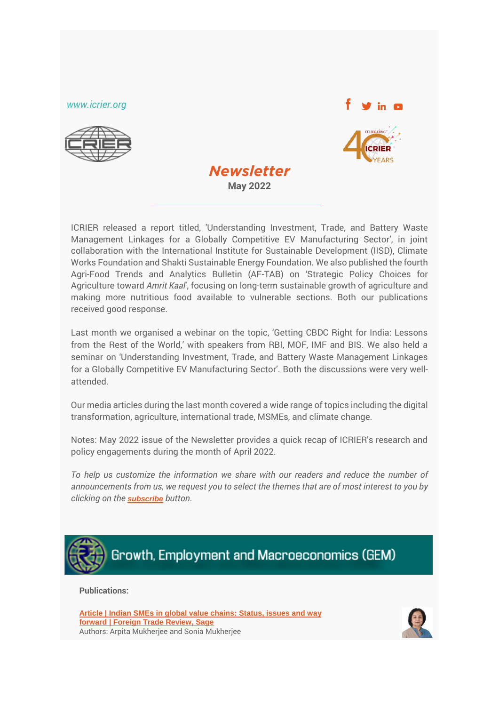*[www.icrier.org](file:///C:/Users/ICRIER-R/Downloads/Emailer%20(1)/www.icrier.org)*





ICRIER released a report titled, 'Understanding Investment, Trade, and Battery Waste Management Linkages for a Globally Competitive EV Manufacturing Sector', in joint collaboration with the International Institute for Sustainable Development (IISD), Climate Works Foundation and Shakti Sustainable Energy Foundation. We also published the fourth Agri-Food Trends and Analytics Bulletin (AF-TAB) on 'Strategic Policy Choices for Agriculture toward *Amrit Kaal*', focusing on long-term sustainable growth of agriculture and making more nutritious food available to vulnerable sections. Both our publications received good response.

*Newsletter* **May 2022**

**Newsletter** 

Last month we organised a webinar on the topic, 'Getting CBDC Right for India: Lessons from the Rest of the World,' with speakers from RBI, MOF, IMF and BIS. We also held a seminar on 'Understanding Investment, Trade, and Battery Waste Management Linkages for a Globally Competitive EV Manufacturing Sector'. Both the discussions were very wellattended.

Our media articles during the last month covered a wide range of topics including the digital transformation, agriculture, international trade, MSMEs, and climate change.

Notes: May 2022 issue of the Newsletter provides a quick recap of ICRIER's research and policy engagements during the month of April 2022.

*To help us customize the information we share with our readers and reduce the number of announcements from us, we request you to select the themes that are of most interest to you by clicking on the [subscribe](https://forms.office.com/r/jEyNsNddDE) button.*



**Publications:**

**Article | [Indian SMEs in global value chains: Status, issues and way](https://journals.sagepub.com/doi/abs/10.1177/00157325221092609?journalCode=ftra)  [forward](https://journals.sagepub.com/doi/abs/10.1177/00157325221092609?journalCode=ftra) | Foreign Trade Review, Sage** Authors: Arpita Mukherjee and Sonia Mukherjee

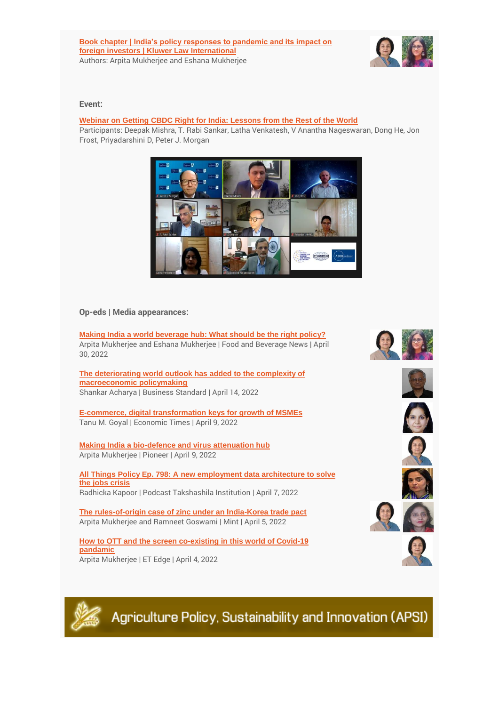

### **Event:**

# **[Webinar on Getting CBDC Right for India: Lessons from the Rest of the World](http://icrier.org/newsevents/seminar-details/?sid=550)**

Participants: Deepak Mishra, T. Rabi Sankar, Latha Venkatesh, V Anantha Nageswaran, Dong He, Jon Frost, Priyadarshini D, Peter J. Morgan



# **Op-eds | Media appearances:**

**[Making India a world beverage hub: What should be the right policy?](http://www.saffronmedia.in/eMagazines/FNB/2022/FNBApr16302022/index.html)** Arpita Mukherjee and Eshana Mukherjee | Food and Beverage News | April 30, 2022

**[The deteriorating world outlook has added to the complexity of](https://www.tpci.in/indiabusinesstrade/blogs/standardization-of-yoga-can-enhance-its-global-reach-export/)  [macroeconomic policymaking](https://www.tpci.in/indiabusinesstrade/blogs/standardization-of-yoga-can-enhance-its-global-reach-export/)** Shankar Acharya | Business Standard | April 14, 2022

**[E-commerce, digital transformation keys for growth of MSMEs](https://economictimes.indiatimes.com/small-biz/sme-sector/e-commerce-digital-transformation-keys-for-growth-of-msmes/articleshow/90741524.cms)** Tanu M. Goyal | Economic Times | April 9, 2022

**[Making India a bio-defence and virus attenuation hub](https://www.dailypioneer.com/2022/columnists/making-india-a-bio-defence-and-virus-attenuation-hub.html)** Arpita Mukherjee | Pioneer | April 9, 2022

**[All Things Policy Ep. 798: A new employment data architecture to solve](https://www.youtube.com/watch?v=XZ0tDR4z1yg)  [the jobs crisis](https://www.youtube.com/watch?v=XZ0tDR4z1yg)** Radhicka Kapoor | Podcast Takshashila Institution | April 7, 2022

**[The rules-of-origin case of zinc under an India-Korea trade pact](https://www.youtube.com/watch?v=Rfc-E2jcQZ8)**  Arpita Mukherjee and Ramneet Goswami | Mint | April 5, 2022

**How to OTT and [the screen co-existing in this world of Covid-19](https://www.youtube.com/watch?v=Rfc-E2jcQZ8)  [pandamic](https://www.youtube.com/watch?v=Rfc-E2jcQZ8)** Arpita Mukherjee | ET Edge | April 4, 2022

















Agriculture Policy, Sustainability and Innovation (APSI)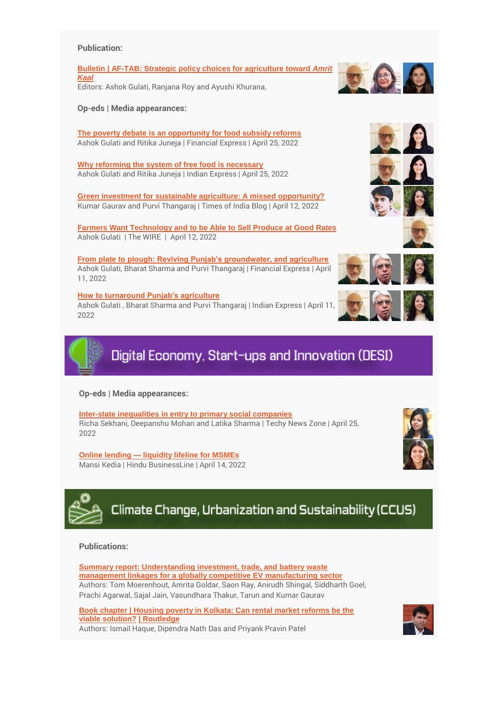#### **Publication:**

**Bulletin | AF-TAB: [Strategic policy choices for agriculture toward](http://icrier.org/pdf/bulletins/AF-TAB_V_I_4.pdf)** *Amrit [Kaal](http://icrier.org/pdf/bulletins/AF-TAB_V_I_4.pdf)* Editors: Ashok Gulati, Ranjana Roy and Ayushi Khurana,

**Op-eds | Media appearances:**

**[The poverty debate is an opportunity for food subsidy reforms](https://www.financialexpress.com/opinion/poverty-and-the-politics-of-freebies/2501950/)** Ashok Gulati and Ritika Juneja | Financial Express | April 25, 2022

**[Why reforming the system of free food is necessary](https://indianexpress.com/article/opinion/columns/why-reforming-the-system-of-free-food-is-necessary-7885475/)** Ashok Gulati and Ritika Juneja | Indian Express | April 25, 2022

**Green [investment for sustainable agriculture: A missed opportunity?](https://timesofindia.indiatimes.com/blogs/voices/green-investment-for-sustainable-agriculture-a-missed-opportunity/)** Kumar Gaurav and Purvi Thangaraj | Times of India Blog | April 12, 2022

**[Farmers Want Technology and to be Able to Sell Produce at Good Rates](https://www.youtube.com/watch?v=uFmSRdBd-aQ)** Ashok Gulati | The WIRE | April 12, 2022

**[From plate to plough: Reviving Punjab's groundwater, and agriculture](https://www.financialexpress.com/opinion/from-plate-to-plough-reviving-punjabs-groundwater-and-agriculture/2487324/)** Ashok Gulati, Bharat Sharma and Purvi Thangaraj | Financial Express | April 11, 2022

### **[How to turnaround Punjab's agriculture](https://indianexpress.com/article/opinion/columns/mann-how-to-turnaround-punjabs-agriculture-7863050/)**

Ashok Gulati , Bharat Sharma and Purvi Thangaraj | Indian Express | April 11, 2022



#### **Op-eds | Media appearances:**

**[Inter-state inequalities in entry to primary social companies](https://techynewsnow.com/inter-state-inequalities-in-entry-to-primary-social-companies/)** Richa Sekhani, Deepanshu Mohan and Latika Sharma | Techy News Zone | April 25, 2022

**Online lending — [liquidity lifeline for MSMEs](https://www.thehindubusinessline.com/opinion/online-lending-the-liquidity-lifeline-for-msmes/article65317513.ece)** Mansi Kedia | Hindu BusinessLine | April 14, 2022



# **Publications:**

**Summary report: [Understanding investment, trade, and battery waste](http://icrier.org/pdf/Understanding_InvestmentTrade_and_Battery_Waste_Management_Linkages.pdf)  [management linkages for a globally competitive EV manufacturing sector](http://icrier.org/pdf/Understanding_InvestmentTrade_and_Battery_Waste_Management_Linkages.pdf)** Authors: Tom Moerenhout, Amrita Goldar, Saon Ray, Anirudh Shingal, Siddharth Goel, Prachi Agarwal, Sajal Jain, Vasundhara Thakur, Tarun and Kumar Gaurav

**[Book chapter | Housing poverty in Kolkata: Can rental market reforms be the](https://www.routledge.com/Kolkata-The-Colonial-City-in-Transition-Reflections-in-Geographies/Bandyopadhyay/p/book/9781032020976)  [viable solution?](https://www.routledge.com/Kolkata-The-Colonial-City-in-Transition-Reflections-in-Geographies/Bandyopadhyay/p/book/9781032020976) | Routledge** Authors: Ismail Haque, Dipendra Nath Das and Priyank Pravin Patel











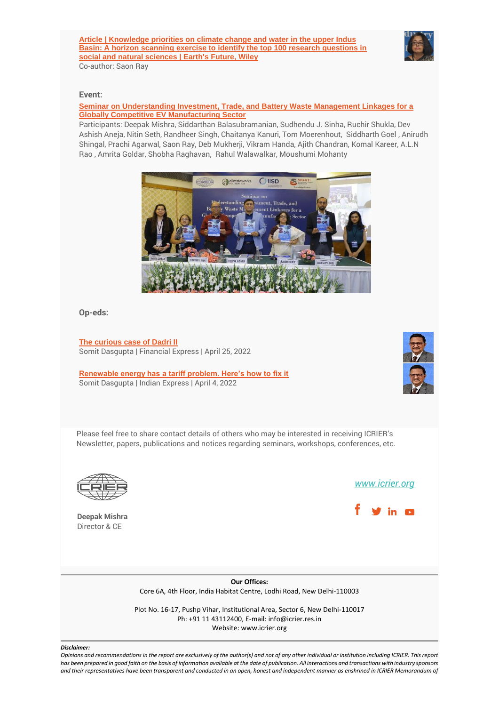

#### **Event:**

## **[Seminar on Understanding Investment, Trade, and Battery Waste Management Linkages for a](http://icrier.org/pdf/Understanding_InvestmentTrade_and_Battery_Waste_Management_Linkages.pdf)  [Globally Competitive EV Manufacturing Sector](http://icrier.org/pdf/Understanding_InvestmentTrade_and_Battery_Waste_Management_Linkages.pdf)**

Participants: Deepak Mishra, Siddarthan Balasubramanian, Sudhendu J. Sinha, Ruchir Shukla, Dev Ashish Aneja, Nitin Seth, Randheer Singh, Chaitanya Kanuri, Tom Moerenhout, Siddharth Goel , Anirudh Shingal, Prachi Agarwal, Saon Ray, Deb Mukherji, Vikram Handa, Ajith Chandran, Komal Kareer, A.L.N Rao , Amrita Goldar, Shobha Raghavan, Rahul Walawalkar, Moushumi Mohanty



**Op-eds:**

**[The curious case of Dadri II](https://www.financialexpress.com/opinion/the-curious-case-of-dadri-ii/2501965/)** Somit Dasgupta | Financial Express | April 25, 2022

**[Renewable energy has a tariff problem. Here's how to fix it](https://indianexpress.com/article/opinion/columns/renewable-energy-has-a-tariff-problem-heres-how-to-fix-it-7851296/)** Somit Dasgupta | Indian Express | April 4, 2022



Please feel free to share contact details of others who may be interested in receiving ICRIER's Newsletter, papers, publications and notices regarding seminars, workshops, conferences, etc.



**Deepak Mishra** Director & CE

*[www.icrier.org](file:///C:/Users/ICRIER-R/Downloads/Emailer%20(1)/www.icrier.org)*



**Our Offices:** Core 6A, 4th Floor, India Habitat Centre, Lodhi Road, New Delhi-110003

Plot No. 16-17, Pushp Vihar, Institutional Area, Sector 6, New Delhi-110017 Ph: +91 11 43112400, E-mail: info@icrier.res.in Website: www.icrier.org

#### *Disclaimer:*

*Opinions and recommendations in the report are exclusively of the author(s) and not of any other individual or institution including ICRIER. This report has been prepared in good faith on the basis of information available at the date of publication. All interactions and transactions with industry sponsors and their representatives have been transparent and conducted in an open, honest and independent manner as enshrined in ICRIER Memorandum of*